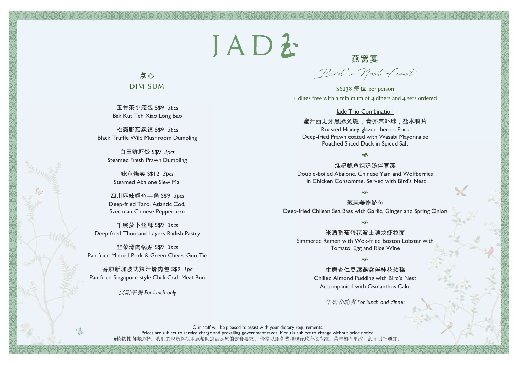# JADZ

# 点心 DIM SUM

玉骨茶小笼包 S\$9 *3pcs* Bak Kut Teh Xiao Long Bao

松露野菇素饺 S\$9 *3pcs* Black Truffle Wild Mushroom Dumpling

白玉鲜虾饺 S\$9 *3pcs* Steamed Fresh Prawn Dumpling

鲍鱼烧卖 S\$12 *3pcs* Steamed Abalone Siew Mai

四川麻辣鳕鱼芋角 S\$9 *3pcs* Deep-fried Taro, Atlantic Cod, Szechuan Chinese Peppercorn

千层萝卜丝酥 S\$9 *3pcs* Deep-fried Thousand Layers Radish Pastry

韭菜滑肉锅贴 S\$9 *3pcs* Pan-fried Minced Pork & Green Chives Guo Tie

香煎新加坡式辣汁蚧肉包 S\$9 *1pc* Pan-fried Singapore-style Chilli Crab Meat Bun

仅限午餐 *For lunch only*

燕窝宴 **Bird** '**s Nest Feast** 

S\$138 每位 per person 1 dines free with a minimum of 4 diners and 4 sets ordered

#### lade Trio Combination

蜜汁西班牙黑豚叉烧,,青芥末虾球,盐水鸭片

Roasted Honey-glazed Iberico Pork Deep-fried Prawn coated with Wasabi Mayonnaise Poached Sliced Duck in Spiced Salt

#### $\sim$

淮杞鲍鱼炖鸡汤伴官燕 Double-boiled Abalone, Chinese Yam and Wolfberries in Chicken Consommé, Served with Bird's Nest

 $\infty$ 

葱蒜姜炸鲈鱼 Deep-fried Chilean Sea Bass with Garlic, Ginger and Spring Onion

 $\infty$ 

米酒番茄蛋花波士顿龙虾拉面 Simmered Ramen with Wok-fried Boston Lobster with Tomato, Egg and Rice Wine

 $\sim$ 

生磨杏仁豆腐燕窝伴桂花软糕

Chilled Almond Pudding with Bird's Nest Accompanied with Osmanthus Cake

午餐和晚餐 *For lunch and dinner*

Our staff will be pleased to assist with your dietary requirements. Prices are subject to service charge and prevailing government taxes. Menu is subject to change without prior notice. #植物性肉类选择。我们的职员将很乐意帮助您满足您的饮食要求。 价格以服务费和现行政府税为准。菜单如有更改,恕不另行通知。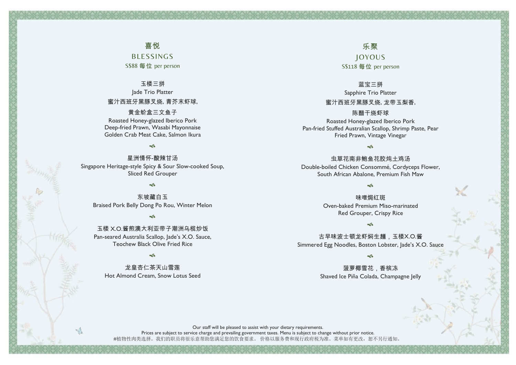### 喜悦

BLESSINGS S\$88 每位 per person

#### 玉楼三拼

Jade Trio Platter 蜜汁西班牙黑豚叉烧, 青芥末虾球,

#### 黄金蚧盒三文鱼子

Roasted Honey-glazed Iberico Pork Deep-fried Prawn, Wasabi Mayonnaise Golden Crab Meat Cake, Salmon Ikura

#### جہ

星洲情怀-酸辣甘汤 Singapore Heritage-style Spicy & Sour Slow-cooked Soup, Sliced Red Grouper

 $\sim$ 

东坡藏白玉 Braised Pork Belly Dong Po Rou, Winter Melon

 $\rightsquigarrow$ 

玉楼 X.O.酱煎澳大利亚带子潮洲乌榄炒饭 Pan-seared Australia Scallop, Jade's X.O. Sauce, Teochew Black Olive Fried Rice

#### $\sim$

龙皇杏仁茶天山雪莲 Hot Almond Cream, Snow Lotus Seed

乐聚 JOYOUS S\$118 每位 per person

蓝宝三拼 Sapphire Trio Platter 蜜汁西班牙黑豚叉烧, 龙带玉梨香,

陈醋干烧虾球 Roasted Honey-glazed Iberico Pork Pan-fried Stuffed Australian Scallop, Shrimp Paste, Pear Fried Prawn, Vintage Vinegar

 $\sim$ 

虫草花南非鲍鱼花胶炖土鸡汤 Double-boiled Chicken Consommé, Cordyceps Flower, South African Abalone, Premium Fish Maw

 $\sim$ 

味噌焗红斑 Oven-baked Premium Miso-marinated Red Grouper, Crispy Rice

 $\sim$ 

古早味波士顿龙虾焖生麺,玉楼X.O.酱 Simmered Egg Noodles, Boston Lobster, Jade's X.O. Sauce

 $\sim$ 

菠萝椰雪花,香槟冻 Shaved Ice Piña Colada, Champagne Jelly

Our staff will be pleased to assist with your dietary requirements. Prices are subject to service charge and prevailing government taxes. Menu is subject to change without prior notice. #植物性肉类选择。我们的职员将很乐意帮助您满足您的饮食要求。 价格以服务费和现行政府税为准。菜单如有更改,恕不另行通知。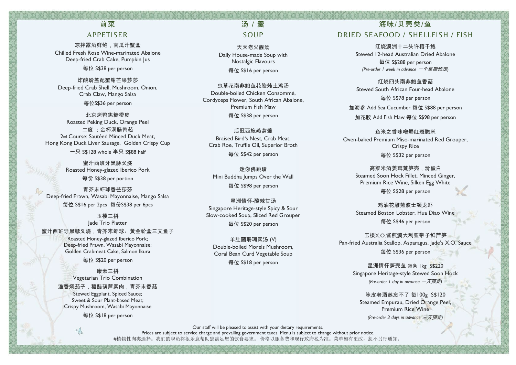## 前菜 APPETISER

凉拌露酒鲜鲍,南瓜汁蟹盒 Chilled Fresh Rose Wine-marinated Abalone Deep-fried Crab Cake, Pumpkin Jus 每位 S\$38 per person

炸酿蚧盖配蟹钳芒果莎莎 Deep-fried Crab Shell, Mushroom, Onion, Crab Claw, Mango Salsa 每位S\$36 per person

北京烤鸭焦糖橙皮 Roasted Peking Duck, Orange Peel 二度 :金杯润肠鸭菘 2<sup>nd</sup> Course: Sautéed Minced Duck Meat, Hong Kong Duck Liver Sausage, Golden Crispy Cup

一只 S\$128 whole 半只 S\$88 half

**密汁西班牙黑豚叉烧** Roasted Honey-glazed Iberico Pork 每份 S\$38 per portion

青芥末虾球香芒莎莎 Deep-fried Prawn, Wasabi Mayonnaise, Mango Salsa

每位 S\$16 per 2pcs 每份S\$38 per 6pcs

玉楼三拼 Jade Trio Platter

蜜汁西班牙黑豚叉烧,青芥末虾球,黄金蚧盒三文鱼子

Roasted Honey-glazed Iberico Pork; Deep-fried Prawn, Wasabi Mayonnaise; Golden Crabmeat Cake, Salmon Ikura

每位 S\$20 per person

康素三拼 Vegetarian Trio Combination

渔香焖茄子,糖醋葫芦素肉,青芥末香菇

Stewed Eggplant, Spiced Sauce; Sweet & Sour Plant-based Meat; Crispy Mushroom, Wasabi Mayonnaise

每位 S\$18 per person

 $\sqrt{2}$ 

### 汤 / 鲞 SOUP

天天老火靓汤 Daily House-made Soup with Nostalgic Flavours 每位 S\$16 per person

虫草花南非鲍鱼花胶炖土鸡汤 Double-boiled Chicken Consommé, Cordyceps Flower, South African Abalone, Premium Fish Maw 每位 S\$38 per person

后冠西施燕窝羹 Braised Bird's Nest, Crab Meat, Crab Roe, Truffle Oil, Superior Broth 每位 S\$42 per person

迷你佛跳墙 Mini Buddha Jumps Over the Wall 每位 S\$98 per person

星洲情怀-酸辣甘汤 Singapore Heritage-style Spicy & Sour Slow-cooked Soup, Sliced Red Grouper 每位 S\$20 per person

羊肚菌珊瑚素汤 (V) Double-boiled Morels Mushroom, Coral Bean Curd Vegetable Soup

每位 S\$18 per person

# 海味/贝壳类/鱼 DRIED SEAFOOD / SHELLFISH / FISH

红烧澳洲十二头许榕干鲍 Stewed 12-head Australian Dried Abalone 每位 S\$288 per person *(Pre-order 1 week in advance* 一个星期预定)

红烧四头南非鲍鱼香菇 Stewed South African Four-head Abalone 每位 S\$78 per person

加海参 Add Sea Cucumber 每位 S\$88 per person 加花胶 Add Fish Maw 每位 S\$98 per person

鱼米之香味噌焗红斑脆米 Oven-baked Premium Miso-marinated Red Grouper, Crispy Rice 每位 S\$32 per person

高粱米酒姜茸蒸笋壳,滑蛋白 Steamed Soon Hock Fillet, Minced Ginger, Premium Rice Wine, Silken Egg White

每位 S\$28 per person

鸡油花雕蒸波士顿龙虾 Steamed Boston Lobster, Hua Diao Wine 每位 S\$46 per person

玉楼X.O.酱煎澳大利亚带子鲜芦笋 Pan-fried Australia Scallop, Asparagus, Jade's X.O. Sauce 每位 S\$36 per person

星洲情怀笋壳鱼 每条 1kg S\$220 Singapore Heritage-style Stewed Soon Hock *(Pre-order 1 day in advance* 一天预定*)*

陈皮老酒蒸忘不了 每100g S\$120 Steamed Empurau, Dried Orange Peel, Premium Rice Wine *(Pre-order 3 days in advance* 三天预定*)*

Our staff will be pleased to assist with your dietary requirements.

Prices are subject to service charge and prevailing government taxes. Menu is subject to change without prior notice. #植物性肉类选择。我们的职员将很乐意帮助您满足您的饮食要求。 价格以服务费和现行政府税为准。菜单如有更改,恕不另行通知。